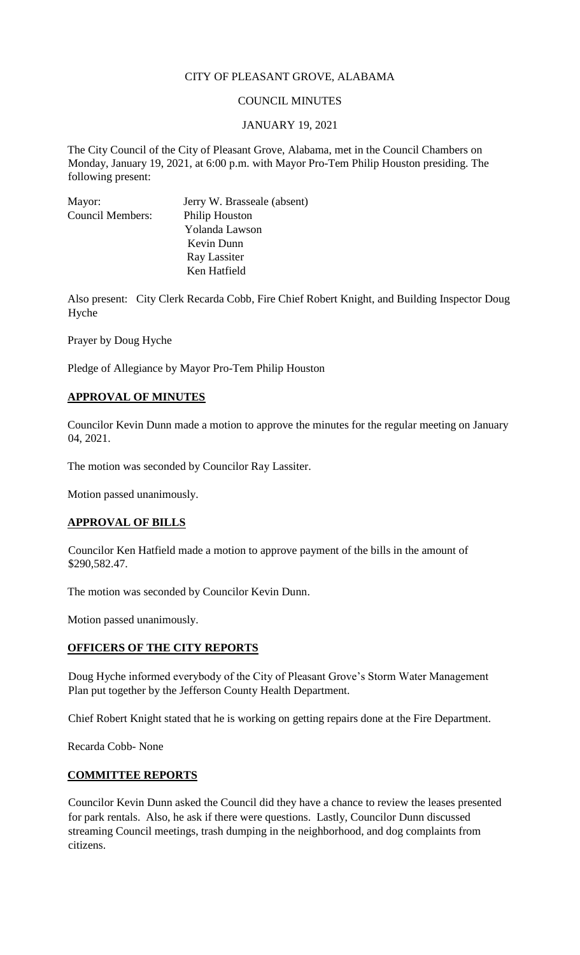# CITY OF PLEASANT GROVE, ALABAMA

## COUNCIL MINUTES

### JANUARY 19, 2021

The City Council of the City of Pleasant Grove, Alabama, met in the Council Chambers on Monday, January 19, 2021, at 6:00 p.m. with Mayor Pro-Tem Philip Houston presiding. The following present:

| Mayor:                  | Jerry W. Brasseale (absent) |
|-------------------------|-----------------------------|
| <b>Council Members:</b> | <b>Philip Houston</b>       |
|                         | Yolanda Lawson              |
|                         | Kevin Dunn                  |
|                         | Ray Lassiter                |
|                         | Ken Hatfield                |

Also present: City Clerk Recarda Cobb, Fire Chief Robert Knight, and Building Inspector Doug Hyche

Prayer by Doug Hyche

Pledge of Allegiance by Mayor Pro-Tem Philip Houston

### **APPROVAL OF MINUTES**

Councilor Kevin Dunn made a motion to approve the minutes for the regular meeting on January 04, 2021.

The motion was seconded by Councilor Ray Lassiter.

Motion passed unanimously.

### **APPROVAL OF BILLS**

Councilor Ken Hatfield made a motion to approve payment of the bills in the amount of \$290,582.47.

The motion was seconded by Councilor Kevin Dunn.

Motion passed unanimously.

### **OFFICERS OF THE CITY REPORTS**

Doug Hyche informed everybody of the City of Pleasant Grove's Storm Water Management Plan put together by the Jefferson County Health Department.

Chief Robert Knight stated that he is working on getting repairs done at the Fire Department.

Recarda Cobb- None

#### **COMMITTEE REPORTS**

Councilor Kevin Dunn asked the Council did they have a chance to review the leases presented for park rentals. Also, he ask if there were questions. Lastly, Councilor Dunn discussed streaming Council meetings, trash dumping in the neighborhood, and dog complaints from citizens.